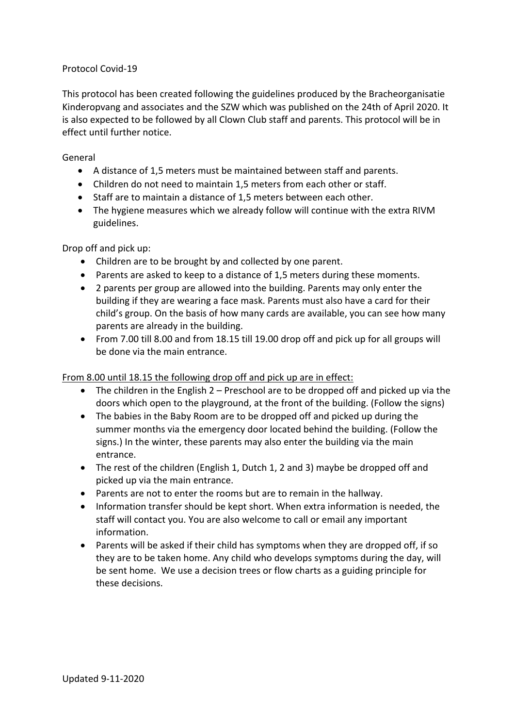# Protocol Covid-19

This protocol has been created following the guidelines produced by the Bracheorganisatie Kinderopvang and associates and the SZW which was published on the 24th of April 2020. It is also expected to be followed by all Clown Club staff and parents. This protocol will be in effect until further notice.

### General

- A distance of 1,5 meters must be maintained between staff and parents.
- Children do not need to maintain 1,5 meters from each other or staff.
- Staff are to maintain a distance of 1,5 meters between each other.
- The hygiene measures which we already follow will continue with the extra RIVM guidelines.

### Drop off and pick up:

- Children are to be brought by and collected by one parent.
- Parents are asked to keep to a distance of 1,5 meters during these moments.
- 2 parents per group are allowed into the building. Parents may only enter the building if they are wearing a face mask. Parents must also have a card for their child's group. On the basis of how many cards are available, you can see how many parents are already in the building.
- From 7.00 till 8.00 and from 18.15 till 19.00 drop off and pick up for all groups will be done via the main entrance.

# From 8.00 until 18.15 the following drop off and pick up are in effect:

- The children in the English 2 Preschool are to be dropped off and picked up via the doors which open to the playground, at the front of the building. (Follow the signs)
- The babies in the Baby Room are to be dropped off and picked up during the summer months via the emergency door located behind the building. (Follow the signs.) In the winter, these parents may also enter the building via the main entrance.
- The rest of the children (English 1, Dutch 1, 2 and 3) maybe be dropped off and picked up via the main entrance.
- Parents are not to enter the rooms but are to remain in the hallway.
- Information transfer should be kept short. When extra information is needed, the staff will contact you. You are also welcome to call or email any important information.
- Parents will be asked if their child has symptoms when they are dropped off, if so they are to be taken home. Any child who develops symptoms during the day, will be sent home. We use a decision trees or flow charts as a guiding principle for these decisions.